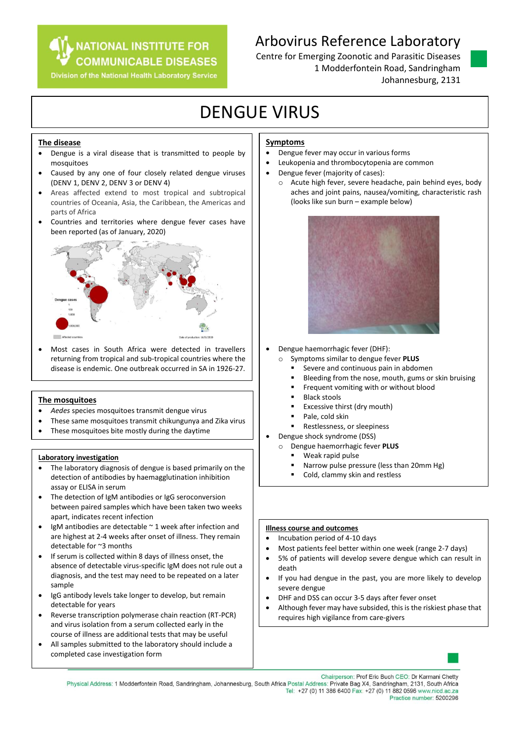### **NATIONAL INSTITUTE FOR COMMUNICABLE DISEASES**

Division of the National Health Laboratory Service

## Arbovirus Reference Laboratory

Centre for Emerging Zoonotic and Parasitic Diseases 1 Modderfontein Road, Sandringham Johannesburg, 2131

# DENGUE VIRUS

### **The disease**

- Dengue is a viral disease that is transmitted to people by mosquitoes
- Caused by any one of four closely related dengue viruses (DENV 1, DENV 2, DENV 3 or DENV 4)
- Areas affected extend to most tropical and subtropical countries of Oceania, Asia, the Caribbean, the Americas and parts of Africa
- Countries and territories where dengue fever cases have been reported (as of January, 2020)



 Most cases in South Africa were detected in travellers returning from tropical and sub-tropical countries where the disease is endemic. One outbreak occurred in SA in 1926-27.

### **The mosquitoes**

- *Aedes* species mosquitoes transmit dengue virus
- These same mosquitoes transmit chikungunya and Zika virus
- These mosquitoes bite mostly during the daytime

### **Laboratory investigation**

- The laboratory diagnosis of dengue is based primarily on the detection of antibodies by haemagglutination inhibition assay or ELISA in serum
- The detection of IgM antibodies or IgG seroconversion between paired samples which have been taken two weeks apart, indicates recent infection
- IgM antibodies are detectable  $\sim$  1 week after infection and are highest at 2-4 weeks after onset of illness. They remain detectable for ~3 months
- If serum is collected within 8 days of illness onset, the absence of detectable virus-specific IgM does not rule out a diagnosis, and the test may need to be repeated on a later sample
- IgG antibody levels take longer to develop, but remain detectable for years
- Reverse transcription polymerase chain reaction (RT-PCR) and virus isolation from a serum collected early in the course of illness are additional tests that may be useful
- All samples submitted to the laboratory should include a completed case investigation form

### **Symptoms**

- Dengue fever may occur in various forms
- Leukopenia and thrombocytopenia are common
- Dengue fever (majority of cases):
	- o Acute high fever, severe headache, pain behind eyes, body aches and joint pains, nausea/vomiting, characteristic rash (looks like sun burn – example below)



- Dengue haemorrhagic fever (DHF):
	- o Symptoms similar to dengue fever **PLUS**
		- Severe and continuous pain in abdomen
		- Bleeding from the nose, mouth, gums or skin bruising
		- Frequent vomiting with or without blood
		- Black stools
		- Excessive thirst (dry mouth)
		- Pale, cold skin
		- Restlessness, or sleepiness
- Dengue shock syndrome (DSS)
	- o Dengue haemorrhagic fever **PLUS**
		- Weak rapid pulse
		- Narrow pulse pressure (less than 20mm Hg)
		- Cold, clammy skin and restless

### **Illness course and outcomes**

- Incubation period of 4-10 days
- Most patients feel better within one week (range 2-7 days)
- 5% of patients will develop severe dengue which can result in death
- If you had dengue in the past, you are more likely to develop severe dengue
- DHF and DSS can occur 3-5 days after fever onset
- Although fever may have subsided, this is the riskiest phase that requires high vigilance from care-givers



Chairperson: Prof Eric Buch CEO: Dr Karmani Chetty